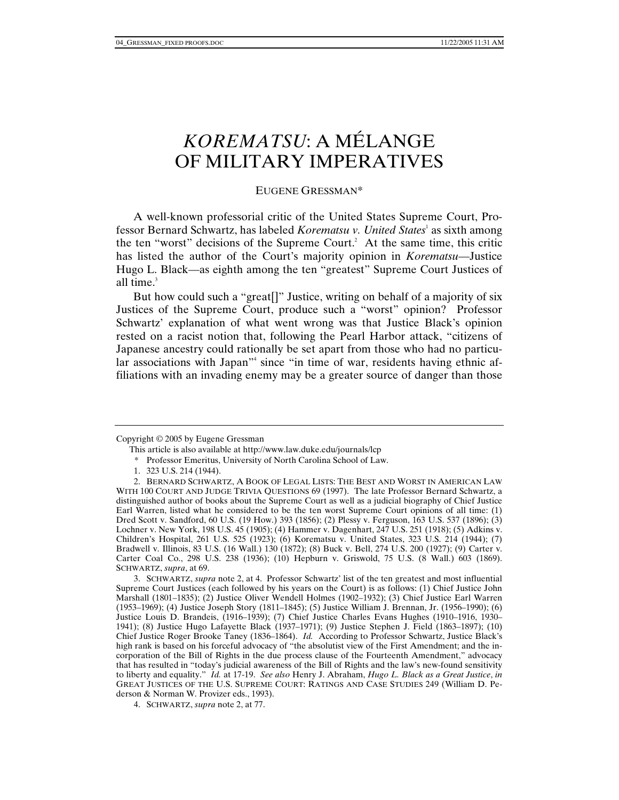# *KOREMATSU*: A MÉLANGE OF MILITARY IMPERATIVES

EUGENE GRESSMAN\*

A well-known professorial critic of the United States Supreme Court, Professor Bernard Schwartz, has labeled *Korematsu v. United States*<sup>1</sup> as sixth among the ten "worst" decisions of the Supreme Court.<sup>2</sup> At the same time, this critic has listed the author of the Court's majority opinion in *Korematsu*—Justice Hugo L. Black—as eighth among the ten "greatest" Supreme Court Justices of all time. $3$ 

But how could such a "great[]" Justice, writing on behalf of a majority of six Justices of the Supreme Court, produce such a "worst" opinion? Professor Schwartz' explanation of what went wrong was that Justice Black's opinion rested on a racist notion that, following the Pearl Harbor attack, "citizens of Japanese ancestry could rationally be set apart from those who had no particular associations with Japan"<sup>4</sup> since "in time of war, residents having ethnic affiliations with an invading enemy may be a greater source of danger than those

Copyright © 2005 by Eugene Gressman

This article is also available at http://www.law.duke.edu/journals/lcp

 <sup>\*</sup> Professor Emeritus, University of North Carolina School of Law.

 <sup>1. 323</sup> U.S. 214 (1944).

 <sup>2.</sup> BERNARD SCHWARTZ, A BOOK OF LEGAL LISTS: THE BEST AND WORST IN AMERICAN LAW WITH 100 COURT AND JUDGE TRIVIA QUESTIONS 69 (1997). The late Professor Bernard Schwartz, a distinguished author of books about the Supreme Court as well as a judicial biography of Chief Justice Earl Warren, listed what he considered to be the ten worst Supreme Court opinions of all time: (1) Dred Scott v. Sandford, 60 U.S. (19 How.) 393 (1856); (2) Plessy v. Ferguson, 163 U.S. 537 (1896); (3) Lochner v. New York, 198 U.S. 45 (1905); (4) Hammer v. Dagenhart, 247 U.S. 251 (1918); (5) Adkins v. Children's Hospital, 261 U.S. 525 (1923); (6) Korematsu v. United States, 323 U.S. 214 (1944); (7) Bradwell v. Illinois, 83 U.S. (16 Wall.) 130 (1872); (8) Buck v. Bell, 274 U.S. 200 (1927); (9) Carter v. Carter Coal Co., 298 U.S. 238 (1936); (10) Hepburn v. Griswold, 75 U.S. (8 Wall.) 603 (1869). SCHWARTZ, *supra*, at 69.

 <sup>3.</sup> SCHWARTZ, *supra* note 2, at 4. Professor Schwartz' list of the ten greatest and most influential Supreme Court Justices (each followed by his years on the Court) is as follows: (1) Chief Justice John Marshall (1801–1835); (2) Justice Oliver Wendell Holmes (1902–1932); (3) Chief Justice Earl Warren (1953–1969); (4) Justice Joseph Story (1811–1845); (5) Justice William J. Brennan, Jr. (1956–1990); (6) Justice Louis D. Brandeis, (1916–1939); (7) Chief Justice Charles Evans Hughes (1910–1916, 1930– 1941); (8) Justice Hugo Lafayette Black (1937–1971); (9) Justice Stephen J. Field (1863–1897); (10) Chief Justice Roger Brooke Taney (1836–1864). *Id.* According to Professor Schwartz, Justice Black's high rank is based on his forceful advocacy of "the absolutist view of the First Amendment; and the incorporation of the Bill of Rights in the due process clause of the Fourteenth Amendment," advocacy that has resulted in "today's judicial awareness of the Bill of Rights and the law's new-found sensitivity to liberty and equality." *Id.* at 17-19. *See also* Henry J. Abraham, *Hugo L. Black as a Great Justice*, *in* GREAT JUSTICES OF THE U.S. SUPREME COURT: RATINGS AND CASE STUDIES 249 (William D. Pederson & Norman W. Provizer eds., 1993).

 <sup>4.</sup> SCHWARTZ, *supra* note 2, at 77.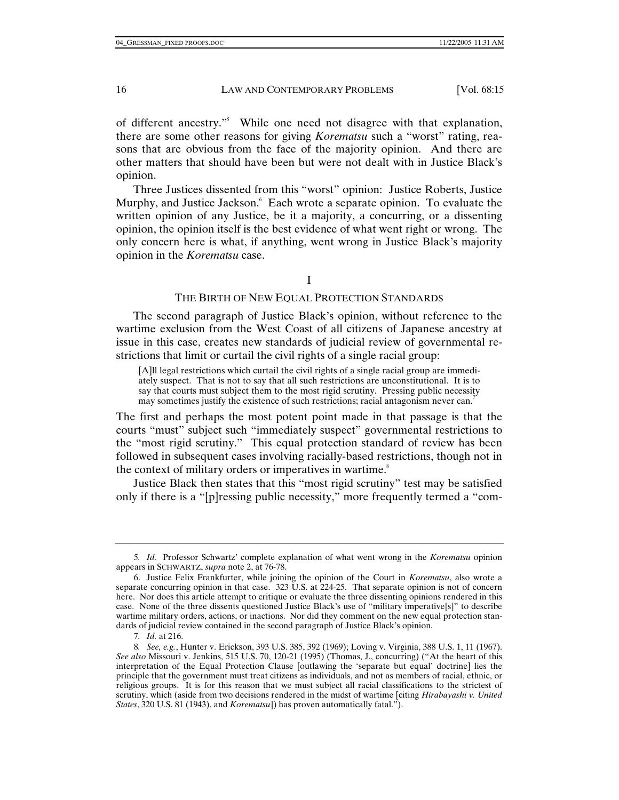of different ancestry."5 While one need not disagree with that explanation, there are some other reasons for giving *Korematsu* such a "worst" rating, reasons that are obvious from the face of the majority opinion. And there are other matters that should have been but were not dealt with in Justice Black's opinion.

Three Justices dissented from this "worst" opinion: Justice Roberts, Justice Murphy, and Justice Jackson. <sup>6</sup> Each wrote a separate opinion. To evaluate the written opinion of any Justice, be it a majority, a concurring, or a dissenting opinion, the opinion itself is the best evidence of what went right or wrong. The only concern here is what, if anything, went wrong in Justice Black's majority opinion in the *Korematsu* case.

## I

## THE BIRTH OF NEW EQUAL PROTECTION STANDARDS

The second paragraph of Justice Black's opinion, without reference to the wartime exclusion from the West Coast of all citizens of Japanese ancestry at issue in this case, creates new standards of judicial review of governmental restrictions that limit or curtail the civil rights of a single racial group:

[A]ll legal restrictions which curtail the civil rights of a single racial group are immediately suspect. That is not to say that all such restrictions are unconstitutional. It is to say that courts must subject them to the most rigid scrutiny. Pressing public necessity may sometimes justify the existence of such restrictions; racial antagonism never can.

The first and perhaps the most potent point made in that passage is that the courts "must" subject such "immediately suspect" governmental restrictions to the "most rigid scrutiny." This equal protection standard of review has been followed in subsequent cases involving racially-based restrictions, though not in the context of military orders or imperatives in wartime.<sup>8</sup>

Justice Black then states that this "most rigid scrutiny" test may be satisfied only if there is a "[p]ressing public necessity," more frequently termed a "com-

<sup>5</sup>*. Id.* Professor Schwartz' complete explanation of what went wrong in the *Korematsu* opinion appears in SCHWARTZ, *supra* note 2, at 76-78.

 <sup>6.</sup> Justice Felix Frankfurter, while joining the opinion of the Court in *Korematsu*, also wrote a separate concurring opinion in that case.  $323 \text{ U.S.}$  at  $224-25$ . That separate opinion is not of concern here. Nor does this article attempt to critique or evaluate the three dissenting opinions rendered in this case. None of the three dissents questioned Justice Black's use of "military imperative[s]" to describe wartime military orders, actions, or inactions. Nor did they comment on the new equal protection standards of judicial review contained in the second paragraph of Justice Black's opinion.

<sup>7</sup>*. Id.* at 216.

<sup>8</sup>*. See, e.g.*, Hunter v. Erickson, 393 U.S. 385, 392 (1969); Loving v. Virginia, 388 U.S. 1, 11 (1967). *See also* Missouri v. Jenkins, 515 U.S. 70, 120-21 (1995) (Thomas, J., concurring) ("At the heart of this interpretation of the Equal Protection Clause [outlawing the 'separate but equal' doctrine] lies the principle that the government must treat citizens as individuals, and not as members of racial, ethnic, or religious groups. It is for this reason that we must subject all racial classifications to the strictest of scrutiny, which (aside from two decisions rendered in the midst of wartime [citing *Hirabayashi v. United States*, 320 U.S. 81 (1943), and *Korematsu*]) has proven automatically fatal.").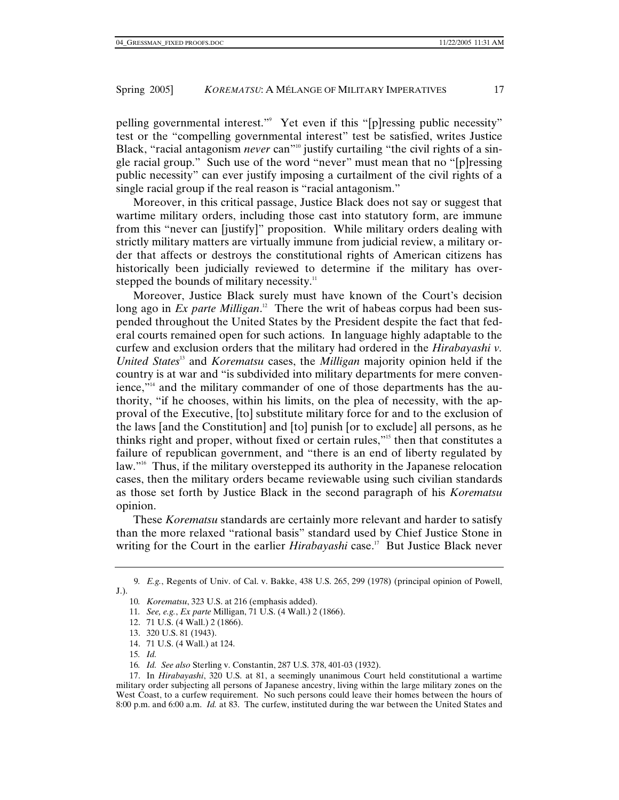pelling governmental interest."9 Yet even if this "[p]ressing public necessity" test or the "compelling governmental interest" test be satisfied, writes Justice Black, "racial antagonism *never* can"<sup>10</sup> justify curtailing "the civil rights of a single racial group." Such use of the word "never" must mean that no "[p]ressing public necessity" can ever justify imposing a curtailment of the civil rights of a single racial group if the real reason is "racial antagonism."

Moreover, in this critical passage, Justice Black does not say or suggest that wartime military orders, including those cast into statutory form, are immune from this "never can [justify]" proposition. While military orders dealing with strictly military matters are virtually immune from judicial review, a military order that affects or destroys the constitutional rights of American citizens has historically been judicially reviewed to determine if the military has overstepped the bounds of military necessity.<sup>11</sup>

Moreover, Justice Black surely must have known of the Court's decision long ago in *Ex parte Milligan*.<sup>12</sup> There the writ of habeas corpus had been suspended throughout the United States by the President despite the fact that federal courts remained open for such actions. In language highly adaptable to the curfew and exclusion orders that the military had ordered in the *Hirabayashi v. United States*13 and *Korematsu* cases, the *Milligan* majority opinion held if the country is at war and "is subdivided into military departments for mere convenience,"14 and the military commander of one of those departments has the authority, "if he chooses, within his limits, on the plea of necessity, with the approval of the Executive, [to] substitute military force for and to the exclusion of the laws [and the Constitution] and [to] punish [or to exclude] all persons, as he thinks right and proper, without fixed or certain rules,"15 then that constitutes a failure of republican government, and "there is an end of liberty regulated by law."16 Thus, if the military overstepped its authority in the Japanese relocation cases, then the military orders became reviewable using such civilian standards as those set forth by Justice Black in the second paragraph of his *Korematsu* opinion.

These *Korematsu* standards are certainly more relevant and harder to satisfy than the more relaxed "rational basis" standard used by Chief Justice Stone in writing for the Court in the earlier *Hirabayashi* case.<sup>17</sup> But Justice Black never

9*. E.g.*, Regents of Univ. of Cal. v. Bakke, 438 U.S. 265, 299 (1978) (principal opinion of Powell, J.).

<sup>10</sup>*. Korematsu*, 323 U.S. at 216 (emphasis added).

<sup>11</sup>*. See, e.g.*, *Ex parte* Milligan, 71 U.S. (4 Wall.) 2 (1866).

 <sup>12. 71</sup> U.S. (4 Wall.) 2 (1866).

 <sup>13. 320</sup> U.S. 81 (1943).

 <sup>14. 71</sup> U.S. (4 Wall.) at 124.

<sup>15</sup>*. Id.*

<sup>16</sup>*. Id. See also* Sterling v. Constantin, 287 U.S. 378, 401-03 (1932).

 <sup>17.</sup> In *Hirabayashi*, 320 U.S. at 81, a seemingly unanimous Court held constitutional a wartime military order subjecting all persons of Japanese ancestry, living within the large military zones on the West Coast, to a curfew requirement. No such persons could leave their homes between the hours of 8:00 p.m. and 6:00 a.m. *Id.* at 83. The curfew, instituted during the war between the United States and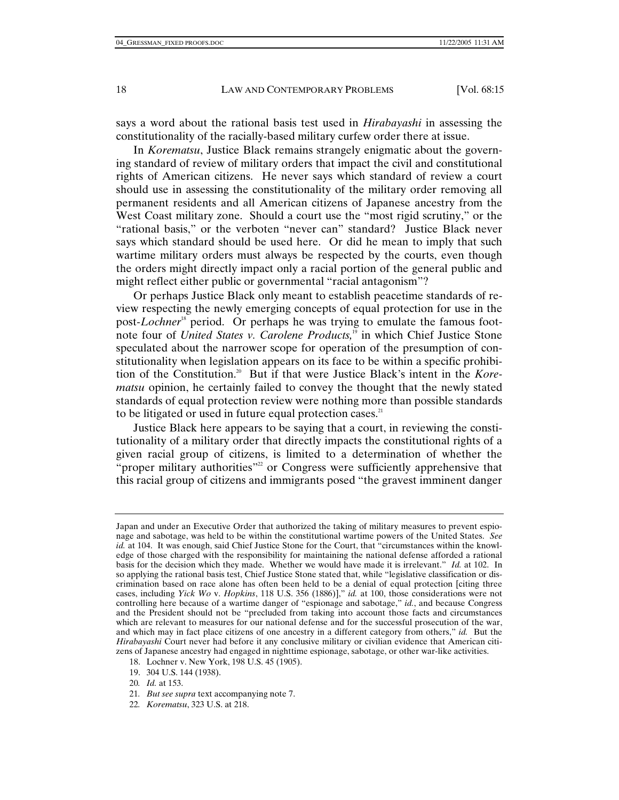says a word about the rational basis test used in *Hirabayashi* in assessing the constitutionality of the racially-based military curfew order there at issue.

In *Korematsu*, Justice Black remains strangely enigmatic about the governing standard of review of military orders that impact the civil and constitutional rights of American citizens. He never says which standard of review a court should use in assessing the constitutionality of the military order removing all permanent residents and all American citizens of Japanese ancestry from the West Coast military zone. Should a court use the "most rigid scrutiny," or the "rational basis," or the verboten "never can" standard? Justice Black never says which standard should be used here. Or did he mean to imply that such wartime military orders must always be respected by the courts, even though the orders might directly impact only a racial portion of the general public and might reflect either public or governmental "racial antagonism"?

Or perhaps Justice Black only meant to establish peacetime standards of review respecting the newly emerging concepts of equal protection for use in the post-*Lochner*<sup>18</sup> period. Or perhaps he was trying to emulate the famous footnote four of *United States v. Carolene Products,*19 in which Chief Justice Stone speculated about the narrower scope for operation of the presumption of constitutionality when legislation appears on its face to be within a specific prohibition of the Constitution.20 But if that were Justice Black's intent in the *Korematsu* opinion, he certainly failed to convey the thought that the newly stated standards of equal protection review were nothing more than possible standards to be litigated or used in future equal protection cases.<sup>21</sup>

Justice Black here appears to be saying that a court, in reviewing the constitutionality of a military order that directly impacts the constitutional rights of a given racial group of citizens, is limited to a determination of whether the "proper military authorities"<sup>22</sup> or Congress were sufficiently apprehensive that this racial group of citizens and immigrants posed "the gravest imminent danger

- 18. Lochner v. New York, 198 U.S. 45 (1905).
- 19. 304 U.S. 144 (1938).
- 20*. Id.* at 153.
- 21*. But see supra* text accompanying note 7.
- 22*. Korematsu*, 323 U.S. at 218.

Japan and under an Executive Order that authorized the taking of military measures to prevent espionage and sabotage, was held to be within the constitutional wartime powers of the United States. *See id.* at 104. It was enough, said Chief Justice Stone for the Court, that "circumstances within the knowledge of those charged with the responsibility for maintaining the national defense afforded a rational basis for the decision which they made. Whether we would have made it is irrelevant." *Id.* at 102. In so applying the rational basis test, Chief Justice Stone stated that, while "legislative classification or discrimination based on race alone has often been held to be a denial of equal protection [citing three cases, including *Yick Wo* v. *Hopkins*, 118 U.S. 356 (1886)]," *id.* at 100, those considerations were not controlling here because of a wartime danger of "espionage and sabotage," *id.*, and because Congress and the President should not be "precluded from taking into account those facts and circumstances which are relevant to measures for our national defense and for the successful prosecution of the war, and which may in fact place citizens of one ancestry in a different category from others," *id.* But the *Hirabayashi* Court never had before it any conclusive military or civilian evidence that American citizens of Japanese ancestry had engaged in nighttime espionage, sabotage, or other war-like activities.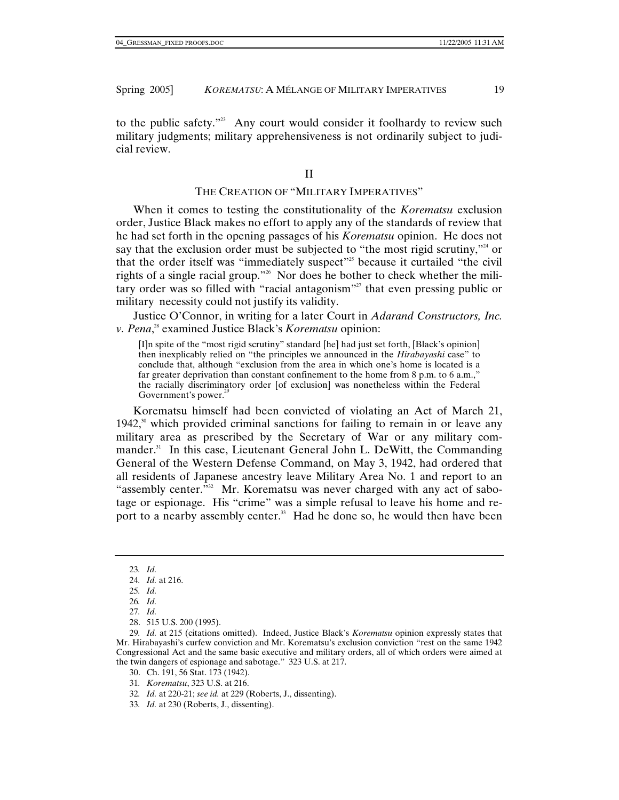to the public safety."<sup>23</sup> Any court would consider it foolhardy to review such military judgments; military apprehensiveness is not ordinarily subject to judicial review.

#### II

## THE CREATION OF "MILITARY IMPERATIVES"

When it comes to testing the constitutionality of the *Korematsu* exclusion order, Justice Black makes no effort to apply any of the standards of review that he had set forth in the opening passages of his *Korematsu* opinion. He does not say that the exclusion order must be subjected to "the most rigid scrutiny,"<sup>24</sup> or that the order itself was "immediately suspect"<sup>25</sup> because it curtailed "the civil rights of a single racial group."26 Nor does he bother to check whether the military order was so filled with "racial antagonism"<sup>27</sup> that even pressing public or military necessity could not justify its validity.

Justice O'Connor, in writing for a later Court in *Adarand Constructors, Inc. v. Pena*, 28 examined Justice Black's *Korematsu* opinion:

[I]n spite of the "most rigid scrutiny" standard [he] had just set forth, [Black's opinion] then inexplicably relied on "the principles we announced in the *Hirabayashi* case" to conclude that, although "exclusion from the area in which one's home is located is a far greater deprivation than constant confinement to the home from 8 p.m. to 6 a.m.," the racially discriminatory order [of exclusion] was nonetheless within the Federal Government's power.<sup>29</sup>

Korematsu himself had been convicted of violating an Act of March 21, 1942, $30$  which provided criminal sanctions for failing to remain in or leave any military area as prescribed by the Secretary of War or any military commander.<sup>31</sup> In this case, Lieutenant General John L. DeWitt, the Commanding General of the Western Defense Command, on May 3, 1942, had ordered that all residents of Japanese ancestry leave Military Area No. 1 and report to an "assembly center.<sup>"32</sup> Mr. Korematsu was never charged with any act of sabotage or espionage. His "crime" was a simple refusal to leave his home and report to a nearby assembly center.<sup>33</sup> Had he done so, he would then have been

- 31*. Korematsu*, 323 U.S. at 216.
- 32*. Id.* at 220-21; *see id.* at 229 (Roberts, J., dissenting).
- 33*. Id.* at 230 (Roberts, J., dissenting).

<sup>23</sup>*. Id.*

<sup>24</sup>*. Id.* at 216.

<sup>25</sup>*. Id.*

<sup>26</sup>*. Id.*

<sup>27</sup>*. Id.*

 <sup>28. 515</sup> U.S. 200 (1995).

<sup>29</sup>*. Id.* at 215 (citations omitted). Indeed, Justice Black's *Korematsu* opinion expressly states that Mr. Hirabayashi's curfew conviction and Mr. Korematsu's exclusion conviction "rest on the same 1942 Congressional Act and the same basic executive and military orders, all of which orders were aimed at the twin dangers of espionage and sabotage." 323 U.S. at 217.

 <sup>30.</sup> Ch. 191, 56 Stat. 173 (1942).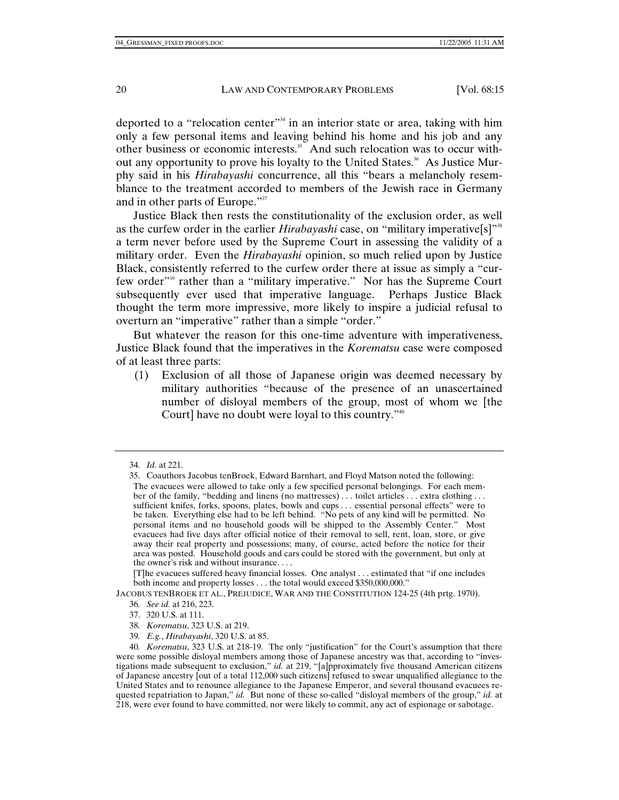deported to a "relocation center"<sup>34</sup> in an interior state or area, taking with him only a few personal items and leaving behind his home and his job and any other business or economic interests.35 And such relocation was to occur without any opportunity to prove his loyalty to the United States.<sup>36</sup> As Justice Murphy said in his *Hirabayashi* concurrence, all this "bears a melancholy resemblance to the treatment accorded to members of the Jewish race in Germany and in other parts of Europe."37

Justice Black then rests the constitutionality of the exclusion order, as well as the curfew order in the earlier *Hirabayashi* case, on "military imperative[s]"<sup>38</sup> a term never before used by the Supreme Court in assessing the validity of a military order. Even the *Hirabayashi* opinion, so much relied upon by Justice Black, consistently referred to the curfew order there at issue as simply a "curfew order"39 rather than a "military imperative." Nor has the Supreme Court subsequently ever used that imperative language. Perhaps Justice Black thought the term more impressive, more likely to inspire a judicial refusal to overturn an "imperative" rather than a simple "order."

But whatever the reason for this one-time adventure with imperativeness, Justice Black found that the imperatives in the *Korematsu* case were composed of at least three parts:

(1) Exclusion of all those of Japanese origin was deemed necessary by military authorities "because of the presence of an unascertained number of disloyal members of the group, most of whom we [the Court] have no doubt were loyal to this country."<sup>40</sup>

JACOBUS TENBROEK ET AL., PREJUDICE, WAR AND THE CONSTITUTION 124-25 (4th prtg. 1970).

39*. E.g.*, *Hirabayashi*, 320 U.S. at 85.

<sup>34</sup>*. Id.* at 221.

 <sup>35.</sup> Coauthors Jacobus tenBroek, Edward Barnhart, and Floyd Matson noted the following: The evacuees were allowed to take only a few specified personal belongings. For each member of the family, "bedding and linens (no mattresses) . . . toilet articles . . . extra clothing . . . sufficient knifes, forks, spoons, plates, bowls and cups . . . essential personal effects" were to be taken. Everything else had to be left behind. "No pets of any kind will be permitted. No personal items and no household goods will be shipped to the Assembly Center." Most evacuees had five days after official notice of their removal to sell, rent, loan, store, or give away their real property and possessions; many, of course, acted before the notice for their area was posted. Household goods and cars could be stored with the government, but only at the owner's risk and without insurance. . . .

<sup>[</sup>T]he evacuees suffered heavy financial losses. One analyst . . . estimated that "if one includes both income and property losses . . . the total would exceed \$350,000,000."

<sup>36</sup>*. See id.* at 216, 223.

 <sup>37. 320</sup> U.S. at 111.

<sup>38</sup>*. Korematsu*, 323 U.S. at 219.

<sup>40</sup>*. Korematsu*, 323 U.S. at 218-19. The only "justification" for the Court's assumption that there were some possible disloyal members among those of Japanese ancestry was that, according to "investigations made subsequent to exclusion," *id.* at 219, "[a]pproximately five thousand American citizens of Japanese ancestry [out of a total 112,000 such citizens] refused to swear unqualified allegiance to the United States and to renounce allegiance to the Japanese Emperor, and several thousand evacuees requested repatriation to Japan," *id.* But none of these so-called "disloyal members of the group," *id.* at 218, were ever found to have committed, nor were likely to commit, any act of espionage or sabotage.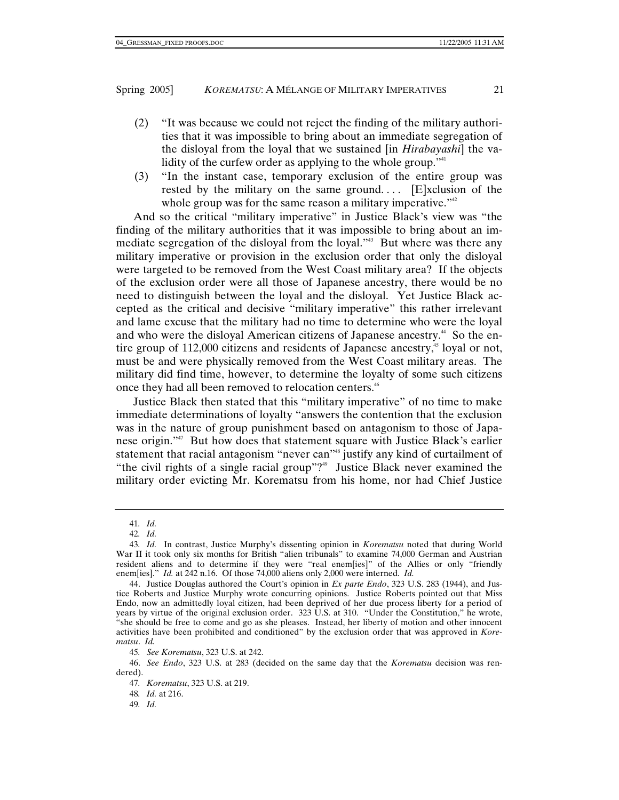- (2) "It was because we could not reject the finding of the military authorities that it was impossible to bring about an immediate segregation of the disloyal from the loyal that we sustained [in *Hirabayashi*] the validity of the curfew order as applying to the whole group."<sup>41</sup>
- (3) "In the instant case, temporary exclusion of the entire group was rested by the military on the same ground....  $[E]$ xclusion of the whole group was for the same reason a military imperative." $42$

And so the critical "military imperative" in Justice Black's view was "the finding of the military authorities that it was impossible to bring about an immediate segregation of the disloyal from the loyal."43 But where was there any military imperative or provision in the exclusion order that only the disloyal were targeted to be removed from the West Coast military area? If the objects of the exclusion order were all those of Japanese ancestry, there would be no need to distinguish between the loyal and the disloyal. Yet Justice Black accepted as the critical and decisive "military imperative" this rather irrelevant and lame excuse that the military had no time to determine who were the loyal and who were the disloyal American citizens of Japanese ancestry.<sup>44</sup> So the entire group of  $112,000$  citizens and residents of Japanese ancestry,<sup>45</sup> loyal or not, must be and were physically removed from the West Coast military areas. The military did find time, however, to determine the loyalty of some such citizens once they had all been removed to relocation centers.<sup>46</sup>

Justice Black then stated that this "military imperative" of no time to make immediate determinations of loyalty "answers the contention that the exclusion was in the nature of group punishment based on antagonism to those of Japanese origin."47 But how does that statement square with Justice Black's earlier statement that racial antagonism "never can"<sup>48</sup> justify any kind of curtailment of "the civil rights of a single racial group"?" Justice Black never examined the military order evicting Mr. Korematsu from his home, nor had Chief Justice

<sup>41</sup>*. Id.*

<sup>42</sup>*. Id.*

<sup>43</sup>*. Id.* In contrast, Justice Murphy's dissenting opinion in *Korematsu* noted that during World War II it took only six months for British "alien tribunals" to examine 74,000 German and Austrian resident aliens and to determine if they were "real enem[ies]" of the Allies or only "friendly enem[ies]." *Id.* at 242 n.16. Of those 74,000 aliens only 2,000 were interned. *Id.*

 <sup>44.</sup> Justice Douglas authored the Court's opinion in *Ex parte Endo*, 323 U.S. 283 (1944), and Justice Roberts and Justice Murphy wrote concurring opinions. Justice Roberts pointed out that Miss Endo, now an admittedly loyal citizen, had been deprived of her due process liberty for a period of years by virtue of the original exclusion order.  $323 \text{ }\hat{U}$ .S. at 310. "Under the Constitution," he wrote, "she should be free to come and go as she pleases. Instead, her liberty of motion and other innocent activities have been prohibited and conditioned" by the exclusion order that was approved in *Korematsu*. *Id.*

<sup>45</sup>*. See Korematsu*, 323 U.S. at 242.

 <sup>46.</sup> *See Endo*, 323 U.S. at 283 (decided on the same day that the *Korematsu* decision was rendered).

<sup>47</sup>*. Korematsu*, 323 U.S. at 219.

<sup>48</sup>*. Id.* at 216.

<sup>49</sup>*. Id.*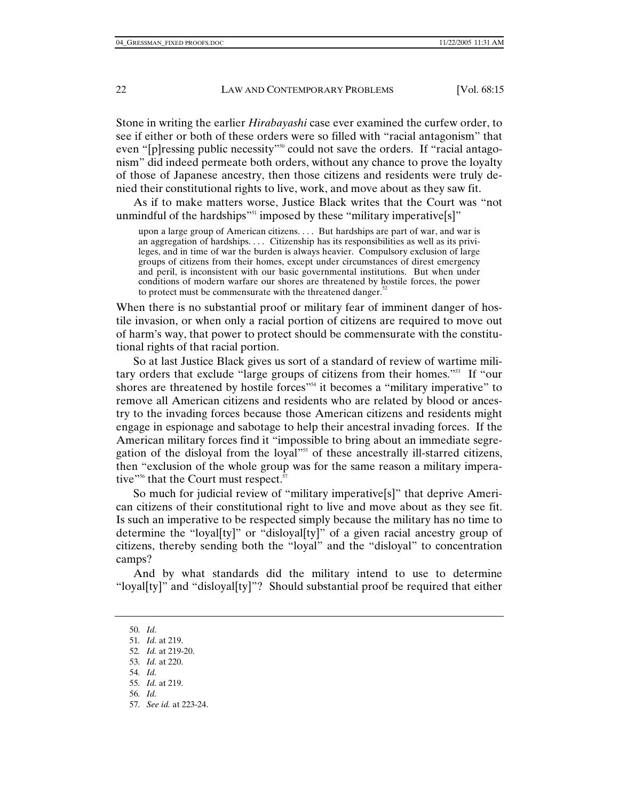Stone in writing the earlier *Hirabayashi* case ever examined the curfew order, to see if either or both of these orders were so filled with "racial antagonism" that even "[p]ressing public necessity"<sup>50</sup> could not save the orders. If "racial antagonism" did indeed permeate both orders, without any chance to prove the loyalty of those of Japanese ancestry, then those citizens and residents were truly denied their constitutional rights to live, work, and move about as they saw fit.

As if to make matters worse, Justice Black writes that the Court was "not unmindful of the hardships"<sup>51</sup> imposed by these "military imperative[s]"

upon a large group of American citizens. . . . But hardships are part of war, and war is an aggregation of hardships. . . . Citizenship has its responsibilities as well as its privileges, and in time of war the burden is always heavier. Compulsory exclusion of large groups of citizens from their homes, except under circumstances of direst emergency and peril, is inconsistent with our basic governmental institutions. But when under conditions of modern warfare our shores are threatened by hostile forces, the power to protect must be commensurate with the threatened danger.<sup>52</sup>

When there is no substantial proof or military fear of imminent danger of hostile invasion, or when only a racial portion of citizens are required to move out of harm's way, that power to protect should be commensurate with the constitutional rights of that racial portion.

So at last Justice Black gives us sort of a standard of review of wartime military orders that exclude "large groups of citizens from their homes."53 If "our shores are threatened by hostile forces<sup>"54</sup> it becomes a "military imperative" to remove all American citizens and residents who are related by blood or ancestry to the invading forces because those American citizens and residents might engage in espionage and sabotage to help their ancestral invading forces. If the American military forces find it "impossible to bring about an immediate segregation of the disloyal from the loyal"<sup>55</sup> of these ancestrally ill-starred citizens, then "exclusion of the whole group was for the same reason a military imperative"<sup>56</sup> that the Court must respect.<sup>57</sup>

So much for judicial review of "military imperative[s]" that deprive American citizens of their constitutional right to live and move about as they see fit. Is such an imperative to be respected simply because the military has no time to determine the "loyal[ty]" or "disloyal[ty]" of a given racial ancestry group of citizens, thereby sending both the "loyal" and the "disloyal" to concentration camps?

And by what standards did the military intend to use to determine "loyal[ty]" and "disloyal[ty]"? Should substantial proof be required that either

<sup>50</sup>*. Id.*

<sup>51</sup>*. Id.* at 219.

<sup>52</sup>*. Id.* at 219-20.

<sup>53</sup>*. Id.* at 220.

<sup>54</sup>*. Id.*

<sup>55</sup>*. Id.* at 219.

<sup>56</sup>*. Id.*

<sup>57</sup>*. See id.* at 223-24.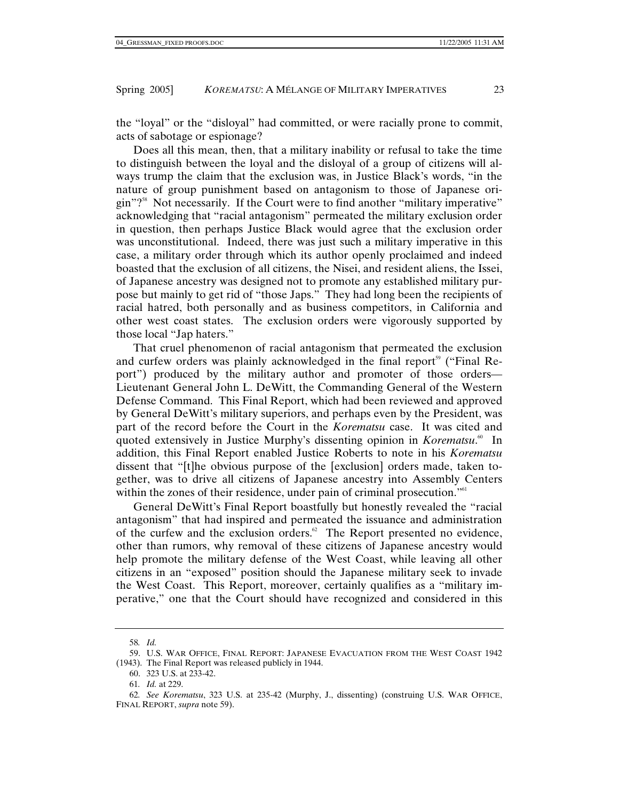the "loyal" or the "disloyal" had committed, or were racially prone to commit, acts of sabotage or espionage?

Does all this mean, then, that a military inability or refusal to take the time to distinguish between the loyal and the disloyal of a group of citizens will always trump the claim that the exclusion was, in Justice Black's words, "in the nature of group punishment based on antagonism to those of Japanese origin"?58 Not necessarily. If the Court were to find another "military imperative" acknowledging that "racial antagonism" permeated the military exclusion order in question, then perhaps Justice Black would agree that the exclusion order was unconstitutional. Indeed, there was just such a military imperative in this case, a military order through which its author openly proclaimed and indeed boasted that the exclusion of all citizens, the Nisei, and resident aliens, the Issei, of Japanese ancestry was designed not to promote any established military purpose but mainly to get rid of "those Japs." They had long been the recipients of racial hatred, both personally and as business competitors, in California and other west coast states. The exclusion orders were vigorously supported by those local "Jap haters."

That cruel phenomenon of racial antagonism that permeated the exclusion and curfew orders was plainly acknowledged in the final report<sup>59</sup> ("Final Report") produced by the military author and promoter of those orders— Lieutenant General John L. DeWitt, the Commanding General of the Western Defense Command. This Final Report, which had been reviewed and approved by General DeWitt's military superiors, and perhaps even by the President, was part of the record before the Court in the *Korematsu* case. It was cited and quoted extensively in Justice Murphy's dissenting opinion in *Korematsu*.<sup>60</sup> In addition, this Final Report enabled Justice Roberts to note in his *Korematsu* dissent that "[t]he obvious purpose of the [exclusion] orders made, taken together, was to drive all citizens of Japanese ancestry into Assembly Centers within the zones of their residence, under pain of criminal prosecution."<sup>61</sup>

General DeWitt's Final Report boastfully but honestly revealed the "racial antagonism" that had inspired and permeated the issuance and administration of the curfew and the exclusion orders.<sup>62</sup> The Report presented no evidence, other than rumors, why removal of these citizens of Japanese ancestry would help promote the military defense of the West Coast, while leaving all other citizens in an "exposed" position should the Japanese military seek to invade the West Coast. This Report, moreover, certainly qualifies as a "military imperative," one that the Court should have recognized and considered in this

<sup>58</sup>*. Id.*

 <sup>59.</sup> U.S. WAR OFFICE, FINAL REPORT: JAPANESE EVACUATION FROM THE WEST COAST 1942 (1943). The Final Report was released publicly in 1944.

 <sup>60. 323</sup> U.S. at 233-42.

<sup>61</sup>*. Id.* at 229.

<sup>62</sup>*. See Korematsu*, 323 U.S. at 235-42 (Murphy, J., dissenting) (construing U.S. WAR OFFICE, FINAL REPORT, *supra* note 59).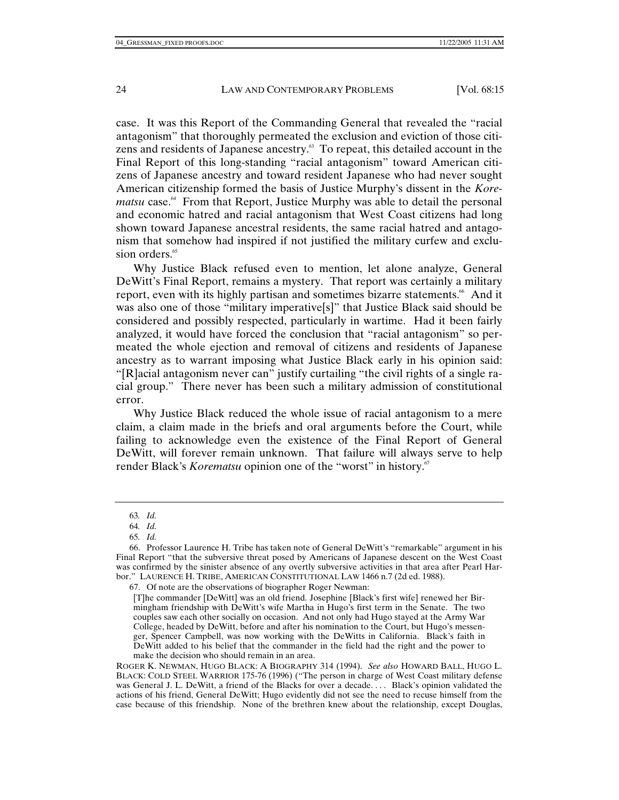case. It was this Report of the Commanding General that revealed the "racial antagonism" that thoroughly permeated the exclusion and eviction of those citizens and residents of Japanese ancestry.<sup>63</sup> To repeat, this detailed account in the Final Report of this long-standing "racial antagonism" toward American citizens of Japanese ancestry and toward resident Japanese who had never sought American citizenship formed the basis of Justice Murphy's dissent in the *Korematsu* case.<sup>64</sup> From that Report, Justice Murphy was able to detail the personal and economic hatred and racial antagonism that West Coast citizens had long shown toward Japanese ancestral residents, the same racial hatred and antagonism that somehow had inspired if not justified the military curfew and exclusion orders.<sup>65</sup>

Why Justice Black refused even to mention, let alone analyze, General DeWitt's Final Report, remains a mystery. That report was certainly a military report, even with its highly partisan and sometimes bizarre statements.<sup>66</sup> And it was also one of those "military imperative[s]" that Justice Black said should be considered and possibly respected, particularly in wartime. Had it been fairly analyzed, it would have forced the conclusion that "racial antagonism" so permeated the whole ejection and removal of citizens and residents of Japanese ancestry as to warrant imposing what Justice Black early in his opinion said: "[R]acial antagonism never can" justify curtailing "the civil rights of a single racial group." There never has been such a military admission of constitutional error.

Why Justice Black reduced the whole issue of racial antagonism to a mere claim, a claim made in the briefs and oral arguments before the Court, while failing to acknowledge even the existence of the Final Report of General DeWitt, will forever remain unknown. That failure will always serve to help render Black's *Korematsu* opinion one of the "worst" in history.<sup>67</sup>

<sup>63</sup>*. Id.*

<sup>64</sup>*. Id.*

<sup>65</sup>*. Id.*

 <sup>66.</sup> Professor Laurence H. Tribe has taken note of General DeWitt's "remarkable" argument in his Final Report "that the subversive threat posed by Americans of Japanese descent on the West Coast was confirmed by the sinister absence of any overtly subversive activities in that area after Pearl Harbor." LAURENCE H. TRIBE, AMERICAN CONSTITUTIONAL LAW 1466 n.7 (2d ed. 1988).

 <sup>67.</sup> Of note are the observations of biographer Roger Newman:

<sup>[</sup>T]he commander [DeWitt] was an old friend. Josephine [Black's first wife] renewed her Birmingham friendship with DeWitt's wife Martha in Hugo's first term in the Senate. The two couples saw each other socially on occasion. And not only had Hugo stayed at the Army War College, headed by DeWitt, before and after his nomination to the Court, but Hugo's messenger, Spencer Campbell, was now working with the DeWitts in California. Black's faith in DeWitt added to his belief that the commander in the field had the right and the power to make the decision who should remain in an area.

ROGER K. NEWMAN, HUGO BLACK: A BIOGRAPHY 314 (1994). *See also* HOWARD BALL, HUGO L. BLACK: COLD STEEL WARRIOR 175-76 (1996) ("The person in charge of West Coast military defense was General J. L. DeWitt, a friend of the Blacks for over a decade. . . . Black's opinion validated the actions of his friend, General DeWitt; Hugo evidently did not see the need to recuse himself from the case because of this friendship. None of the brethren knew about the relationship, except Douglas,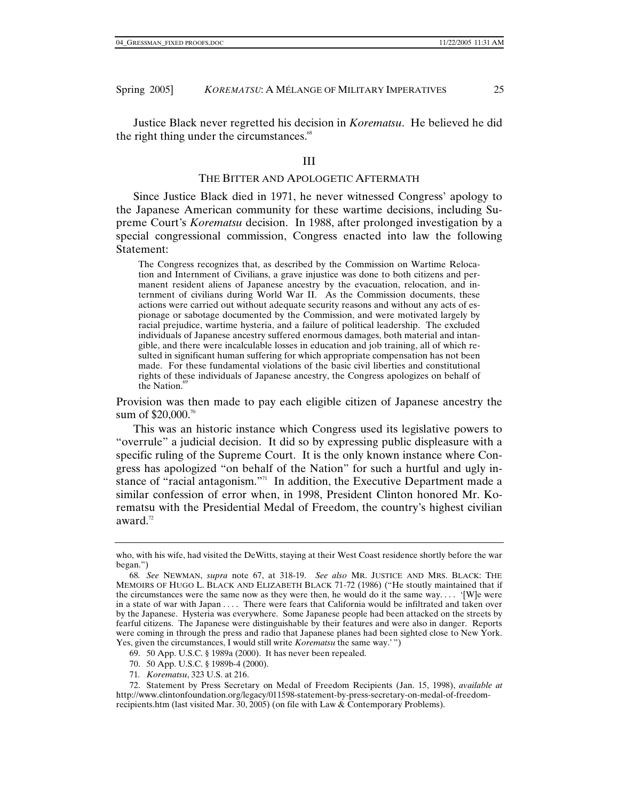Justice Black never regretted his decision in *Korematsu*. He believed he did the right thing under the circumstances.<sup>68</sup>

#### III

### THE BITTER AND APOLOGETIC AFTERMATH

Since Justice Black died in 1971, he never witnessed Congress' apology to the Japanese American community for these wartime decisions, including Supreme Court's *Korematsu* decision. In 1988, after prolonged investigation by a special congressional commission, Congress enacted into law the following Statement:

The Congress recognizes that, as described by the Commission on Wartime Relocation and Internment of Civilians, a grave injustice was done to both citizens and permanent resident aliens of Japanese ancestry by the evacuation, relocation, and internment of civilians during World War II. As the Commission documents, these actions were carried out without adequate security reasons and without any acts of espionage or sabotage documented by the Commission, and were motivated largely by racial prejudice, wartime hysteria, and a failure of political leadership. The excluded individuals of Japanese ancestry suffered enormous damages, both material and intangible, and there were incalculable losses in education and job training, all of which resulted in significant human suffering for which appropriate compensation has not been made. For these fundamental violations of the basic civil liberties and constitutional rights of these individuals of Japanese ancestry, the Congress apologizes on behalf of the Nation. $69$ 

Provision was then made to pay each eligible citizen of Japanese ancestry the sum of \$20,000.<sup>70</sup>

This was an historic instance which Congress used its legislative powers to "overrule" a judicial decision. It did so by expressing public displeasure with a specific ruling of the Supreme Court. It is the only known instance where Congress has apologized "on behalf of the Nation" for such a hurtful and ugly instance of "racial antagonism."<sup>71</sup> In addition, the Executive Department made a similar confession of error when, in 1998, President Clinton honored Mr. Korematsu with the Presidential Medal of Freedom, the country's highest civilian award.<sup>72</sup>

- 69. 50 App. U.S.C. § 1989a (2000). It has never been repealed.
- 70. 50 App. U.S.C. § 1989b-4 (2000).
- 71*. Korematsu*, 323 U.S. at 216.

 72. Statement by Press Secretary on Medal of Freedom Recipients (Jan. 15, 1998), *available at* http://www.clintonfoundation.org/legacy/011598-statement-by-press-secretary-on-medal-of-freedomrecipients.htm (last visited Mar. 30, 2005) (on file with Law & Contemporary Problems).

who, with his wife, had visited the DeWitts, staying at their West Coast residence shortly before the war began.")

<sup>68</sup>*. See* NEWMAN, *supra* note 67, at 318-19. *See also* MR. JUSTICE AND MRS. BLACK: THE MEMOIRS OF HUGO L. BLACK AND ELIZABETH BLACK 71-72 (1986) ("He stoutly maintained that if the circumstances were the same now as they were then, he would do it the same way.... '[W]e were in a state of war with Japan . . . . There were fears that California would be infiltrated and taken over by the Japanese. Hysteria was everywhere. Some Japanese people had been attacked on the streets by fearful citizens. The Japanese were distinguishable by their features and were also in danger. Reports were coming in through the press and radio that Japanese planes had been sighted close to New York. Yes, given the circumstances, I would still write *Korematsu* the same way.'")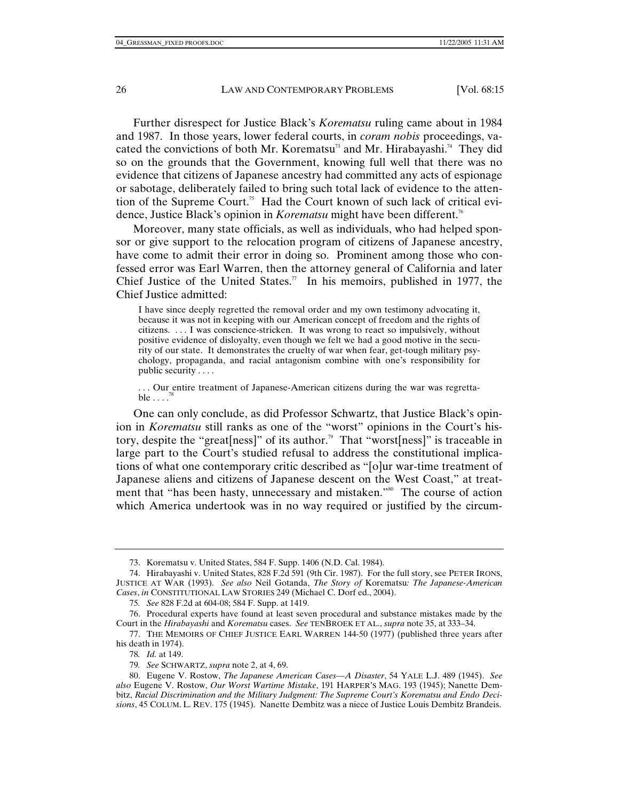Further disrespect for Justice Black's *Korematsu* ruling came about in 1984 and 1987. In those years, lower federal courts, in *coram nobis* proceedings, vacated the convictions of both Mr. Korematsu<sup>3</sup> and Mr. Hirabayashi.<sup>74</sup> They did so on the grounds that the Government, knowing full well that there was no evidence that citizens of Japanese ancestry had committed any acts of espionage or sabotage, deliberately failed to bring such total lack of evidence to the attention of the Supreme Court.<sup>75</sup> Had the Court known of such lack of critical evidence, Justice Black's opinion in *Korematsu* might have been different.<sup>76</sup>

Moreover, many state officials, as well as individuals, who had helped sponsor or give support to the relocation program of citizens of Japanese ancestry, have come to admit their error in doing so. Prominent among those who confessed error was Earl Warren, then the attorney general of California and later Chief Justice of the United States.<sup>77</sup> In his memoirs, published in 1977, the Chief Justice admitted:

I have since deeply regretted the removal order and my own testimony advocating it, because it was not in keeping with our American concept of freedom and the rights of citizens. . . . I was conscience-stricken. It was wrong to react so impulsively, without positive evidence of disloyalty, even though we felt we had a good motive in the security of our state. It demonstrates the cruelty of war when fear, get-tough military psychology, propaganda, and racial antagonism combine with one's responsibility for public security . . . .

. . . Our entire treatment of Japanese-American citizens during the war was regretta $ble \ldots$ 

One can only conclude, as did Professor Schwartz, that Justice Black's opinion in *Korematsu* still ranks as one of the "worst" opinions in the Court's history, despite the "great [ness]" of its author.<sup>79</sup> That "worst [ness]" is traceable in large part to the Court's studied refusal to address the constitutional implications of what one contemporary critic described as "[o]ur war-time treatment of Japanese aliens and citizens of Japanese descent on the West Coast," at treatment that "has been hasty, unnecessary and mistaken."<sup>80</sup> The course of action which America undertook was in no way required or justified by the circum-

 <sup>73.</sup> Korematsu v. United States, 584 F. Supp. 1406 (N.D. Cal. 1984).

 <sup>74.</sup> Hirabayashi v. United States, 828 F.2d 591 (9th Cir. 1987). For the full story, see PETER IRONS, JUSTICE AT WAR (1993). *See also* Neil Gotanda, *The Story of* Korematsu*: The Japanese-American Cases*, *in* CONSTITUTIONAL LAW STORIES 249 (Michael C. Dorf ed., 2004).

<sup>75</sup>*. See* 828 F.2d at 604-08; 584 F. Supp. at 1419.

 <sup>76.</sup> Procedural experts have found at least seven procedural and substance mistakes made by the Court in the *Hirabayashi* and *Korematsu* cases. *See* TENBROEK ET AL., *supra* note 35, at 333–34.

 <sup>77.</sup> THE MEMOIRS OF CHIEF JUSTICE EARL WARREN 144-50 (1977) (published three years after his death in 1974).

<sup>78</sup>*. Id.* at 149.

<sup>79</sup>*. See* SCHWARTZ, *supra* note 2, at 4, 69.

 <sup>80.</sup> Eugene V. Rostow, *The Japanese American Cases—A Disaster*, 54 YALE L.J. 489 (1945). *See also* Eugene V. Rostow, *Our Worst Wartime Mistake*, 191 HARPER'S MAG. 193 (1945); Nanette Dembitz, *Racial Discrimination and the Military Judgment: The Supreme Court's Korematsu and Endo Decisions*, 45 COLUM. L. REV. 175 (1945). Nanette Dembitz was a niece of Justice Louis Dembitz Brandeis.